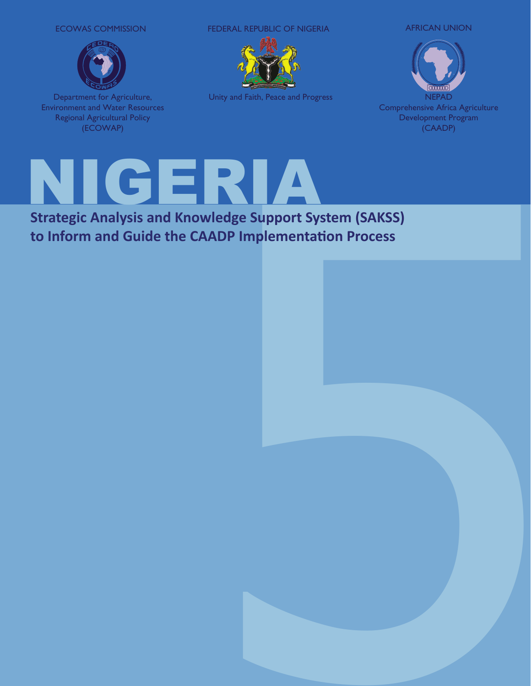#### ECOWAS COMMISSION



Department for Agriculture, Environment and Water Resources Regional Agricultural Policy (ECOWAP)

FEDERAL REPUBLIC OF NIGERIA AFRICAN UNION



Unity and Faith, Peace and Progress

NEPAD Comprehensive Africa Agriculture Development Program (CAADP)



**to Inform and Guide the CAADP Implementation Process**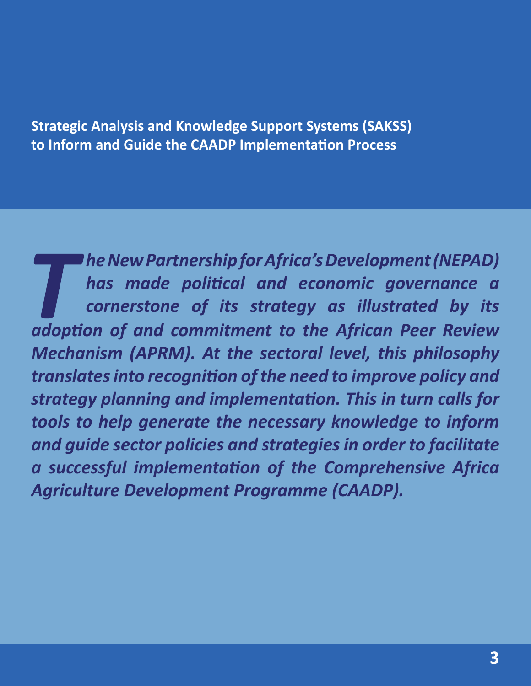**Strategic Analysis and Knowledge Support Systems (SAKSS) to Inform and Guide the CAADP Implementation Process**

*he New Partnership for Africa's Development (NEPAD) has made political and economic governance a cornerstone of its strategy as illustrated by its adoption of and commitment to the African Peer Review Mechanism (APRM). At the sectoral level, this philosophy translates into recognition of the need to improve policy and strategy planning and implementation. This in turn calls for tools to help generate the necessary knowledge to inform and guide sector policies and strategies in order to facilitate a successful implementation of the Comprehensive Africa Agriculture Development Programme (CAADP).*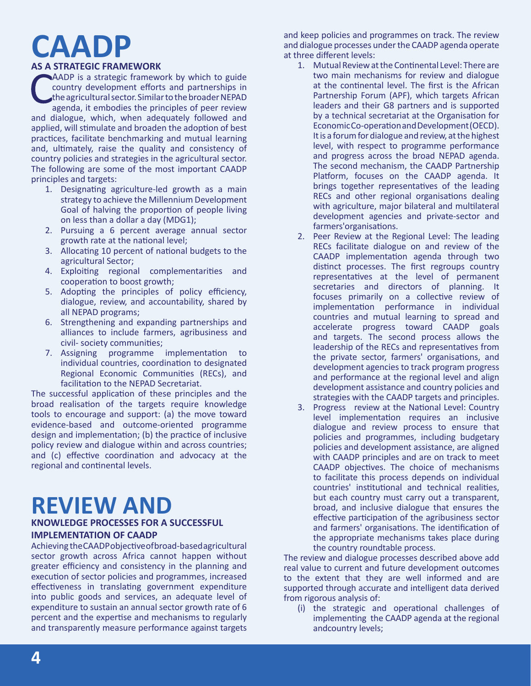# **CAADP**

#### **AS A STRATEGIC FRAMEWORK**

AADP is a strategic framework by which to guide country development efforts and partnerships in the agricultural sector. Similar to the broader NEPAD agenda, it embodies the principles of peer review and dialogue, which, when adequately followed and applied, will stimulate and broaden the adoption of best practices, facilitate benchmarking and mutual learning and, ultimately, raise the quality and consistency of country policies and strategies in the agricultural sector. The following are some of the most important CAADP principles and targets:

- 1. Designating agriculture-led growth as a main strategy to achieve the Millennium Development Goal of halving the proportion of people living on less than a dollar a day (MDG1);
- 2. Pursuing a 6 percent average annual sector growth rate at the national level;
- 3. Allocating 10 percent of national budgets to the agricultural Sector;
- 4. Exploiting regional complementarities and cooperation to boost growth;
- 5. Adopting the principles of policy efficiency, dialogue, review, and accountability, shared by all NEPAD programs;
- 6. Strengthening and expanding partnerships and alliances to include farmers, agribusiness and civil- society communities;
- 7. Assigning programme implementation to individual countries, coordination to designated Regional Economic Communities (RECs), and facilitation to the NEPAD Secretariat.

The successful application of these principles and the broad realisation of the targets require knowledge tools to encourage and support: (a) the move toward evidence-based and outcome-oriented programme design and implementation; (b) the practice of inclusive policy review and dialogue within and across countries; and (c) effective coordination and advocacy at the regional and continental levels.

## **REVIEW AND**

#### **KNOWLEDGE PROCESSES FOR A SUCCESSFUL IMPLEMENTATION OF CAADP**

Achieving the CAADP objective of broad-based agricultural sector growth across Africa cannot happen without greater efficiency and consistency in the planning and execution of sector policies and programmes, increased effectiveness in translating government expenditure into public goods and services, an adequate level of expenditure to sustain an annual sector growth rate of 6 percent and the expertise and mechanisms to regularly and transparently measure performance against targets

and keep policies and programmes on track. The review and dialogue processes under the CAADP agenda operate at three different levels:

- 1. Mutual Review at the Continental Level: There are two main mechanisms for review and dialogue at the continental level. The first is the African Partnership Forum (APF), which targets African leaders and their G8 partners and is supported by a technical secretariat at the Organisation for Economic Co-operation and Development (OECD). It is a forum for dialogue and review, at the highest level, with respect to programme performance and progress across the broad NEPAD agenda. The second mechanism, the CAADP Partnership Platform, focuses on the CAADP agenda. It brings together representatives of the leading RECs and other regional organisations dealing with agriculture, major bilateral and multilateral development agencies and private-sector and farmers'organisations.
- 2. Peer Review at the Regional Level: The leading RECs facilitate dialogue on and review of the CAADP implementation agenda through two distinct processes. The first regroups country representatives at the level of permanent secretaries and directors of planning. It focuses primarily on a collective review of implementation performance in individual countries and mutual learning to spread and accelerate progress toward CAADP goals and targets. The second process allows the leadership of the RECs and representatives from the private sector, farmers' organisations, and development agencies to track program progress and performance at the regional level and align development assistance and country policies and strategies with the CAADP targets and principles.
- 3. Progress review at the National Level: Country level implementation requires an inclusive dialogue and review process to ensure that policies and programmes, including budgetary policies and development assistance, are aligned with CAADP principles and are on track to meet CAADP objectives. The choice of mechanisms to facilitate this process depends on individual countries' institutional and technical realities, but each country must carry out a transparent, broad, and inclusive dialogue that ensures the effective participation of the agribusiness sector and farmers' organisations. The identification of the appropriate mechanisms takes place during the country roundtable process.

The review and dialogue processes described above add real value to current and future development outcomes to the extent that they are well informed and are supported through accurate and intelligent data derived from rigorous analysis of:

(i) the strategic and operational challenges of implementing the CAADP agenda at the regional andcountry levels;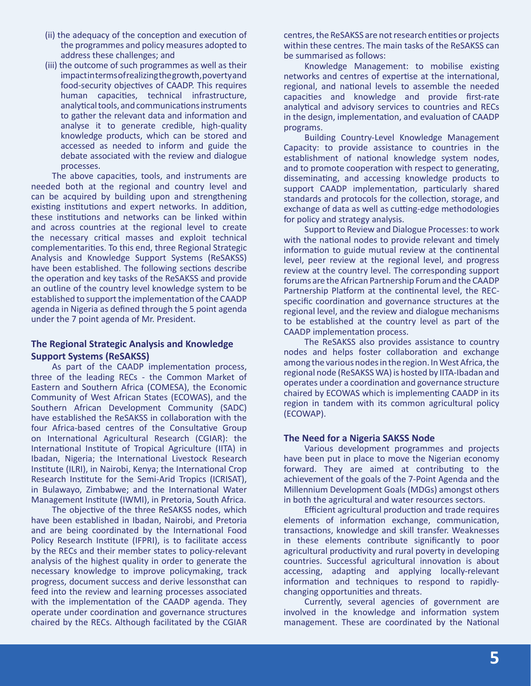- (ii) the adequacy of the conception and execution of the programmes and policy measures adopted to address these challenges; and
- (iii) the outcome of such programmes as well as their impact in terms of realizing the growth, poverty and food-security objectives of CAADP. This requires human capacities, technical infrastructure, analytical tools, and communications instruments to gather the relevant data and information and analyse it to generate credible, high-quality knowledge products, which can be stored and accessed as needed to inform and guide the debate associated with the review and dialogue processes.

The above capacities, tools, and instruments are needed both at the regional and country level and can be acquired by building upon and strengthening existing institutions and expert networks. In addition, these institutions and networks can be linked within and across countries at the regional level to create the necessary critical masses and exploit technical complementarities. To this end, three Regional Strategic Analysis and Knowledge Support Systems (ReSAKSS) have been established. The following sections describe the operation and key tasks of the ReSAKSS and provide an outline of the country level knowledge system to be established to support the implementation of the CAADP agenda in Nigeria as defined through the 5 point agenda under the 7 point agenda of Mr. President.

#### **The Regional Strategic Analysis and Knowledge Support Systems (ReSAKSS)**

As part of the CAADP implementation process, three of the leading RECs - the Common Market of Eastern and Southern Africa (COMESA), the Economic Community of West African States (ECOWAS), and the Southern African Development Community (SADC) have established the ReSAKSS in collaboration with the four Africa-based centres of the Consultative Group on International Agricultural Research (CGIAR): the International Institute of Tropical Agriculture (IITA) in Ibadan, Nigeria; the International Livestock Research Institute (ILRI), in Nairobi, Kenya; the International Crop Research Institute for the Semi-Arid Tropics (ICRISAT), in Bulawayo, Zimbabwe; and the International Water Management Institute (IWMI), in Pretoria, South Africa.

The objective of the three ReSAKSS nodes, which have been established in Ibadan, Nairobi, and Pretoria and are being coordinated by the International Food Policy Research Institute (IFPRI), is to facilitate access by the RECs and their member states to policy-relevant analysis of the highest quality in order to generate the necessary knowledge to improve policymaking, track progress, document success and derive lessonsthat can feed into the review and learning processes associated with the implementation of the CAADP agenda. They operate under coordination and governance structures chaired by the RECs. Although facilitated by the CGIAR centres, the ReSAKSS are not research entities or projects within these centres. The main tasks of the ReSAKSS can be summarised as follows:

Knowledge Management: to mobilise existing networks and centres of expertise at the international, regional, and national levels to assemble the needed capacities and knowledge and provide first-rate analytical and advisory services to countries and RECs in the design, implementation, and evaluation of CAADP programs.

Building Country-Level Knowledge Management Capacity: to provide assistance to countries in the establishment of national knowledge system nodes, and to promote cooperation with respect to generating, disseminating, and accessing knowledge products to support CAADP implementation, particularly shared standards and protocols for the collection, storage, and exchange of data as well as cutting-edge methodologies for policy and strategy analysis.

Support to Review and Dialogue Processes: to work with the national nodes to provide relevant and timely information to guide mutual review at the continental level, peer review at the regional level, and progress review at the country level. The corresponding support forums are the African Partnership Forum and the CAADP Partnership Platform at the continental level, the RECspecific coordination and governance structures at the regional level, and the review and dialogue mechanisms to be established at the country level as part of the CAADP implementation process.

The ReSAKSS also provides assistance to country nodes and helps foster collaboration and exchange among the various nodes in the region. In West Africa, the regional node (ReSAKSS WA) is hosted by IITA-Ibadan and operates under a coordination and governance structure chaired by ECOWAS which is implementing CAADP in its region in tandem with its common agricultural policy (ECOWAP).

#### **The Need for a Nigeria SAKSS Node**

Various development programmes and projects have been put in place to move the Nigerian economy forward. They are aimed at contributing to the achievement of the goals of the 7-Point Agenda and the Millennium Development Goals (MDGs) amongst others in both the agricultural and water resources sectors.

Efficient agricultural production and trade requires elements of information exchange, communication, transactions, knowledge and skill transfer. Weaknesses in these elements contribute significantly to poor agricultural productivity and rural poverty in developing countries. Successful agricultural innovation is about accessing, adapting and applying locally-relevant information and techniques to respond to rapidlychanging opportunities and threats.

Currently, several agencies of government are involved in the knowledge and information system management. These are coordinated by the National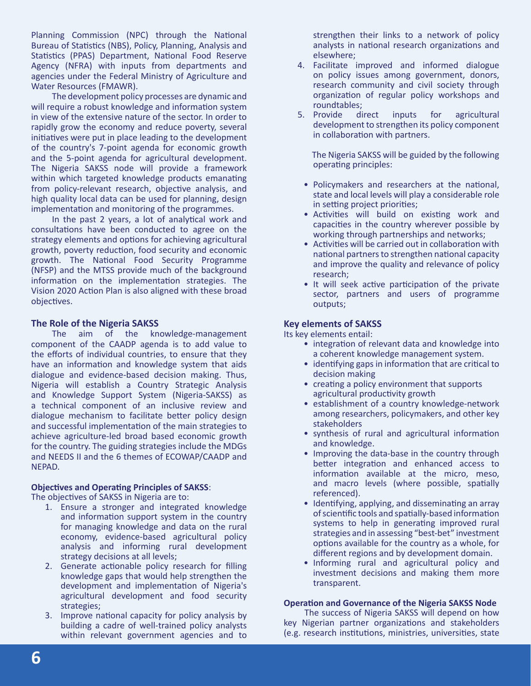Planning Commission (NPC) through the National Bureau of Statistics (NBS), Policy, Planning, Analysis and Statistics (PPAS) Department, National Food Reserve Agency (NFRA) with inputs from departments and agencies under the Federal Ministry of Agriculture and Water Resources (FMAWR).

The development policy processes are dynamic and will require a robust knowledge and information system in view of the extensive nature of the sector. In order to rapidly grow the economy and reduce poverty, several initiatives were put in place leading to the development of the country's 7-point agenda for economic growth and the 5-point agenda for agricultural development. The Nigeria SAKSS node will provide a framework within which targeted knowledge products emanating from policy-relevant research, objective analysis, and high quality local data can be used for planning, design implementation and monitoring of the programmes.

In the past 2 years, a lot of analytical work and consultations have been conducted to agree on the strategy elements and options for achieving agricultural growth, poverty reduction, food security and economic growth. The National Food Security Programme (NFSP) and the MTSS provide much of the background information on the implementation strategies. The Vision 2020 Action Plan is also aligned with these broad objectives.

#### **The Role of the Nigeria SAKSS**

The aim of the knowledge-management component of the CAADP agenda is to add value to the efforts of individual countries, to ensure that they have an information and knowledge system that aids dialogue and evidence-based decision making. Thus, Nigeria will establish a Country Strategic Analysis and Knowledge Support System (Nigeria-SAKSS) as a technical component of an inclusive review and dialogue mechanism to facilitate better policy design and successful implementation of the main strategies to achieve agriculture-led broad based economic growth for the country. The guiding strategies include the MDGs and NEEDS II and the 6 themes of ECOWAP/CAADP and NEPAD.

#### **Objectives and Operating Principles of SAKSS**:

The objectives of SAKSS in Nigeria are to:

- 1. Ensure a stronger and integrated knowledge and information support system in the country for managing knowledge and data on the rural economy, evidence-based agricultural policy analysis and informing rural development strategy decisions at all levels;
- 2. Generate actionable policy research for filling knowledge gaps that would help strengthen the development and implementation of Nigeria's agricultural development and food security strategies;
- 3. Improve national capacity for policy analysis by building a cadre of well-trained policy analysts within relevant government agencies and to

strengthen their links to a network of policy analysts in national research organizations and elsewhere;

- 4. Facilitate improved and informed dialogue on policy issues among government, donors, research community and civil society through organization of regular policy workshops and roundtables;
- 5. Provide direct inputs for agricultural development to strengthen its policy component in collaboration with partners.

 The Nigeria SAKSS will be guided by the following operating principles:

- Policymakers and researchers at the national, state and local levels will play a considerable role in setting project priorities;
- Activities will build on existing work and capacities in the country wherever possible by working through partnerships and networks;
- Activities will be carried out in collaboration with national partners to strengthen national capacity and improve the quality and relevance of policy research;
- It will seek active participation of the private sector, partners and users of programme outputs;

#### **Key elements of SAKSS**

Its key elements entail:

- integration of relevant data and knowledge into a coherent knowledge management system.
- identifying gaps in information that are critical to decision making
- creating a policy environment that supports agricultural productivity growth
- establishment of a country knowledge-network among researchers, policymakers, and other key stakeholders
- synthesis of rural and agricultural information and knowledge.
- Improving the data-base in the country through better integration and enhanced access to information available at the micro, meso, and macro levels (where possible, spatially referenced).
- Identifying, applying, and disseminating an array of scientific tools and spatially-based information systems to help in generating improved rural strategies and in assessing "best-bet" investment options available for the country as a whole, for different regions and by development domain.
- Informing rural and agricultural policy and investment decisions and making them more transparent.

#### **Operation and Governance of the Nigeria SAKSS Node**

The success of Nigeria SAKSS will depend on how key Nigerian partner organizations and stakeholders (e.g. research institutions, ministries, universities, state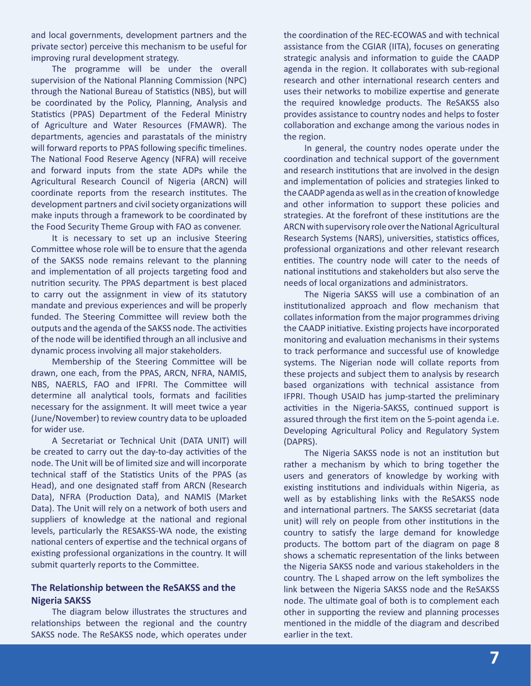and local governments, development partners and the private sector) perceive this mechanism to be useful for improving rural development strategy.

The programme will be under the overall supervision of the National Planning Commission (NPC) through the National Bureau of Statistics (NBS), but will be coordinated by the Policy, Planning, Analysis and Statistics (PPAS) Department of the Federal Ministry of Agriculture and Water Resources (FMAWR). The departments, agencies and parastatals of the ministry will forward reports to PPAS following specific timelines. The National Food Reserve Agency (NFRA) will receive and forward inputs from the state ADPs while the Agricultural Research Council of Nigeria (ARCN) will coordinate reports from the research institutes. The development partners and civil society organizations will make inputs through a framework to be coordinated by the Food Security Theme Group with FAO as convener.

It is necessary to set up an inclusive Steering Committee whose role will be to ensure that the agenda of the SAKSS node remains relevant to the planning and implementation of all projects targeting food and nutrition security. The PPAS department is best placed to carry out the assignment in view of its statutory mandate and previous experiences and will be properly funded. The Steering Committee will review both the outputs and the agenda of the SAKSS node. The activities of the node will be identified through an all inclusive and dynamic process involving all major stakeholders.

Membership of the Steering Committee will be drawn, one each, from the PPAS, ARCN, NFRA, NAMIS, NBS, NAERLS, FAO and IFPRI. The Committee will determine all analytical tools, formats and facilities necessary for the assignment. It will meet twice a year (June/November) to review country data to be uploaded for wider use.

A Secretariat or Technical Unit (DATA UNIT) will be created to carry out the day-to-day activities of the node. The Unit will be of limited size and will incorporate technical staff of the Statistics Units of the PPAS (as Head), and one designated staff from ARCN (Research Data), NFRA (Production Data), and NAMIS (Market Data). The Unit will rely on a network of both users and suppliers of knowledge at the national and regional levels, particularly the RESAKSS-WA node, the existing national centers of expertise and the technical organs of existing professional organizations in the country. It will submit quarterly reports to the Committee.

#### **The Relationship between the ReSAKSS and the Nigeria SAKSS**

The diagram below illustrates the structures and relationships between the regional and the country SAKSS node. The ReSAKSS node, which operates under

the coordination of the REC-ECOWAS and with technical assistance from the CGIAR (IITA), focuses on generating strategic analysis and information to guide the CAADP agenda in the region. It collaborates with sub-regional research and other international research centers and uses their networks to mobilize expertise and generate the required knowledge products. The ReSAKSS also provides assistance to country nodes and helps to foster collaboration and exchange among the various nodes in the region.

In general, the country nodes operate under the coordination and technical support of the government and research institutions that are involved in the design and implementation of policies and strategies linked to the CAADP agenda as well as in the creation of knowledge and other information to support these policies and strategies. At the forefront of these institutions are the ARCN with supervisory role over the National Agricultural Research Systems (NARS), universities, statistics offices, professional organizations and other relevant research entities. The country node will cater to the needs of national institutions and stakeholders but also serve the needs of local organizations and administrators.

The Nigeria SAKSS will use a combination of an institutionalized approach and flow mechanism that collates information from the major programmes driving the CAADP initiative. Existing projects have incorporated monitoring and evaluation mechanisms in their systems to track performance and successful use of knowledge systems. The Nigerian node will collate reports from these projects and subject them to analysis by research based organizations with technical assistance from IFPRI. Though USAID has jump-started the preliminary activities in the Nigeria-SAKSS, continued support is assured through the first item on the 5-point agenda i.e. Developing Agricultural Policy and Regulatory System (DAPRS).

The Nigeria SAKSS node is not an institution but rather a mechanism by which to bring together the users and generators of knowledge by working with existing institutions and individuals within Nigeria, as well as by establishing links with the ReSAKSS node and international partners. The SAKSS secretariat (data unit) will rely on people from other institutions in the country to satisfy the large demand for knowledge products. The bottom part of the diagram on page 8 shows a schematic representation of the links between the Nigeria SAKSS node and various stakeholders in the country. The L shaped arrow on the left symbolizes the link between the Nigeria SAKSS node and the ReSAKSS node. The ultimate goal of both is to complement each other in supporting the review and planning processes mentioned in the middle of the diagram and described earlier in the text.